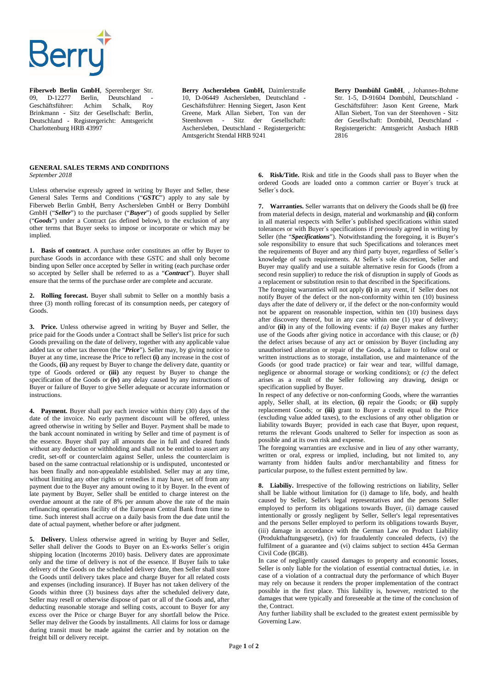## **Berru**

**Fiberweb Berlin GmbH**, Sperenberger Str. 09, D-12277 Berlin, Deutschland<br>Geschäftsführer: Achim Schalk. Geschäftsführer: Achim Schalk, Roy Brinkmann - Sitz der Gesellschaft: Berlin, Deutschland - Registergericht: Amtsgericht Charlottenburg HRB 43997

**Berry Aschersleben GmbH,** Daimlerstraße 10, D-06449 Aschersleben, Deutschland - Geschäftsführer: Henning Siegert, Jason Kent Greene, Mark Allan Siebert, Ton van der Steenhoven - Sitz der Gesellschaft: Aschersleben, Deutschland - Registergericht: Amtsgericht Stendal HRB 9241

**Berry Dombühl GmbH**, , Johannes-Bohme Str. 1-5, D-91604 Dombühl, Deutschland - Geschäftsführer: Jason Kent Greene, Mark Allan Siebert, Ton van der Steenhoven - Sitz der Gesellschaft: Dombühl, Deutschland - Registergericht: Amtsgericht Ansbach HRB 2816

## **GENERAL SALES TERMS AND CONDITIONS**  *September 2018*

Unless otherwise expressly agreed in writing by Buyer and Seller, these General Sales Terms and Conditions ("*GSTC*") apply to any sale by Fiberweb Berlin GmbH, Berry Aschersleben GmbH or Berry Dombühl GmbH ("*Seller*") to the purchaser ("*Buyer*") of goods supplied by Seller ("*Goods*") under a Contract (as defined below), to the exclusion of any other terms that Buyer seeks to impose or incorporate or which may be implied.

**1. Basis of contract**. A purchase order constitutes an offer by Buyer to purchase Goods in accordance with these GSTC and shall only become binding upon Seller once accepted by Seller in writing (each purchase order so accepted by Seller shall be referred to as a "*Contract*"). Buyer shall ensure that the terms of the purchase order are complete and accurate.

**2. Rolling forecast.** Buyer shall submit to Seller on a monthly basis a three (3) month rolling forecast of its consumption needs, per category of Goods.

**3. Price.** Unless otherwise agreed in writing by Buyer and Seller, the price paid for the Goods under a Contract shall be Seller's list price for such Goods prevailing on the date of delivery, together with any applicable value added tax or other tax thereon (the "*Price*"). Seller may, by giving notice to Buyer at any time, increase the Price to reflect **(i)** any increase in the cost of the Goods, **(ii)** any request by Buyer to change the delivery date, quantity or type of Goods ordered or **(iii)** any request by Buyer to change the specification of the Goods or **(iv)** any delay caused by any instructions of Buyer or failure of Buyer to give Seller adequate or accurate information or instructions.

**4. Payment.** Buyer shall pay each invoice within thirty (30) days of the date of the invoice. No early payment discount will be offered, unless agreed otherwise in writing by Seller and Buyer. Payment shall be made to the bank account nominated in writing by Seller and time of payment is of the essence. Buyer shall pay all amounts due in full and cleared funds without any deduction or withholding and shall not be entitled to assert any credit, set-off or counterclaim against Seller, unless the counterclaim is based on the same contractual relationship or is undisputed, uncontested or has been finally and non-appealable established. Seller may at any time, without limiting any other rights or remedies it may have, set off from any payment due to the Buyer any amount owing to it by Buyer. In the event of late payment by Buyer, Seller shall be entitled to charge interest on the overdue amount at the rate of 8% per annum above the rate of the main refinancing operations facility of the European Central Bank from time to time. Such interest shall accrue on a daily basis from the due date until the date of actual payment, whether before or after judgment.

**5. Delivery.** Unless otherwise agreed in writing by Buyer and Seller, Seller shall deliver the Goods to Buyer on an Ex-works Seller´s origin shipping location (Incoterms 2010) basis. Delivery dates are approximate only and the time of delivery is not of the essence. If Buyer fails to take delivery of the Goods on the scheduled delivery date, then Seller shall store the Goods until delivery takes place and charge Buyer for all related costs and expenses (including insurance). If Buyer has not taken delivery of the Goods within three (3) business days after the scheduled delivery date, Seller may resell or otherwise dispose of part or all of the Goods and, after deducting reasonable storage and selling costs, account to Buyer for any excess over the Price or charge Buyer for any shortfall below the Price. Seller may deliver the Goods by installments. All claims for loss or damage during transit must be made against the carrier and by notation on the freight bill or delivery receipt.

**6. Risk/Title.** Risk and title in the Goods shall pass to Buyer when the ordered Goods are loaded onto a common carrier or Buyer´s truck at Seller´s dock.

**7. Warranties.** Seller warrants that on delivery the Goods shall be **(i)** free from material defects in design, material and workmanship and **(ii)** conform in all material respects with Seller´s published specifications within stated tolerances or with Buyer´s specifications if previously agreed in writing by Seller (the "Specifications"). Notwithstanding the foregoing, it is Buyer's sole responsibility to ensure that such Specifications and tolerances meet the requirements of Buyer and any third party buyer, regardless of Seller´s knowledge of such requirements. At Seller´s sole discretion, Seller and Buyer may qualify and use a suitable alternative resin for Goods (from a second resin supplier) to reduce the risk of disruption in supply of Goods as a replacement or substitution resin to that described in the Specifications.

The foregoing warranties will not apply **(i)** in any event, if Seller does not notify Buyer of the defect or the non-conformity within ten (10) business days after the date of delivery or, if the defect or the non-conformity would not be apparent on reasonable inspection, within ten (10) business days after discovery thereof, but in any case within one (1) year of delivery; and/or **(ii)** in any of the following events: if *(a)* Buyer makes any further use of the Goods after giving notice in accordance with this clause; or *(b)* the defect arises because of any act or omission by Buyer (including any unauthorised alteration or repair of the Goods, a failure to follow oral or written instructions as to storage, installation, use and maintenance of the Goods (or good trade practice) or fair wear and tear, willful damage, negligence or abnormal storage or working conditions); or *(c)* the defect arises as a result of the Seller following any drawing, design or specification supplied by Buyer.

In respect of any defective or non-conforming Goods, where the warranties apply, Seller shall, at its election, **(i)** repair the Goods; or **(ii)** supply replacement Goods; or **(iii)** grant to Buyer a credit equal to the Price (excluding value added taxes), to the exclusions of any other obligation or liability towards Buyer; provided in each case that Buyer, upon request, returns the relevant Goods unaltered to Seller for inspection as soon as possible and at its own risk and expense.

The foregoing warranties are exclusive and in lieu of any other warranty, written or oral, express or implied, including, but not limited to, any warranty from hidden faults and/or merchantability and fitness for particular purpose, to the fullest extent permitted by law.

**8. Liabiliy.** Irrespective of the following restrictions on liability, Seller shall be liable without limitation for (i) damage to life, body, and health caused by Seller, Seller's legal representatives and the persons Seller employed to perform its obligations towards Buyer, (ii) damage caused intentionally or grossly negligent by Seller, Seller's legal representatives and the persons Seller employed to perform its obligations towards Buyer, (iii) damage in accordance with the German Law on Product Liability (Produkthaftungsgesetz), (iv) for fraudulently concealed defects, (v) the fulfilment of a guarantee and (vi) claims subject to section 445a German Civil Code (BGB).

In case of negligently caused damages to property and economic losses, Seller is only liable for the violation of essential contractual duties, i.e. in case of a violation of a contractual duty the performance of which Buyer may rely on because it renders the proper implementation of the contract possible in the first place. This liability is, however, restricted to the damages that were typically and foreseeable at the time of the conclusion of the, Contract.

Any further liability shall be excluded to the greatest extent permissible by Governing Law.